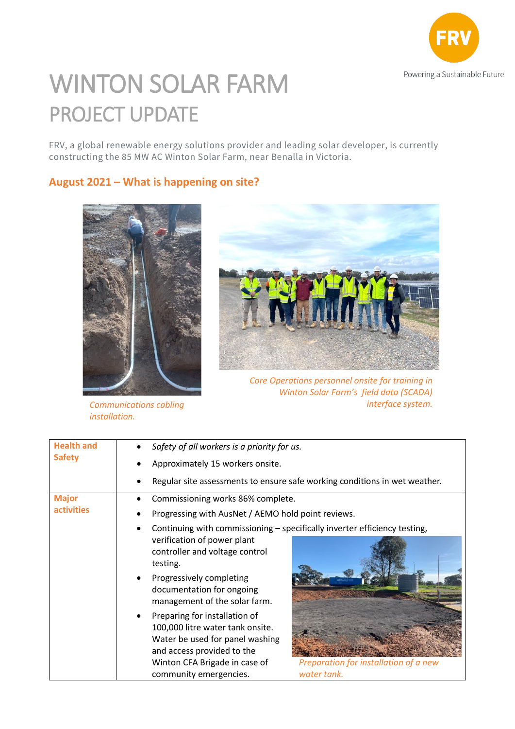

## WINTON SOLAR FARM PROJECT UPDATE

FRV, a global renewable energy solutions provider and leading solar developer, is currently constructing the 85 MW AC Winton Solar Farm, near Benalla in Victoria.

## **August 2021 – What is happening on site?**



*installation.*



*Core Operations personnel onsite for training in Winton Solar Farm's field data (SCADA) Communications cabling interface system.*

| <b>Health and</b><br><b>Safety</b> | Safety of all workers is a priority for us.                                                                                                                                                                                                           |  |
|------------------------------------|-------------------------------------------------------------------------------------------------------------------------------------------------------------------------------------------------------------------------------------------------------|--|
|                                    | Approximately 15 workers onsite.                                                                                                                                                                                                                      |  |
|                                    | Regular site assessments to ensure safe working conditions in wet weather.                                                                                                                                                                            |  |
| <b>Major</b><br><b>activities</b>  | Commissioning works 86% complete.                                                                                                                                                                                                                     |  |
|                                    | Progressing with AusNet / AEMO hold point reviews.                                                                                                                                                                                                    |  |
|                                    | Continuing with commissioning - specifically inverter efficiency testing,<br>verification of power plant<br>controller and voltage control<br>testing.<br>Progressively completing<br>documentation for ongoing<br>management of the solar farm.      |  |
|                                    | Preparing for installation of<br>100,000 litre water tank onsite.<br>Water be used for panel washing<br>and access provided to the<br>Preparation for installation of a new<br>Winton CFA Brigade in case of<br>water tank.<br>community emergencies. |  |